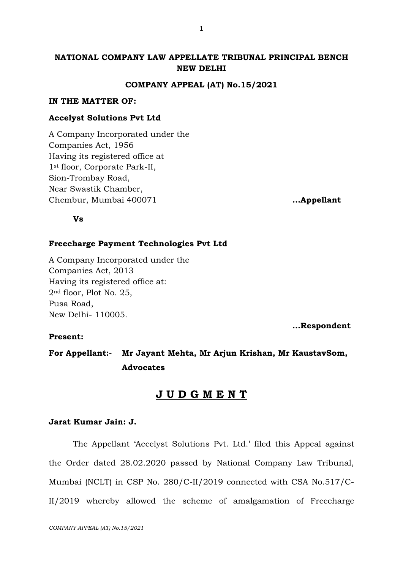# **NATIONAL COMPANY LAW APPELLATE TRIBUNAL PRINCIPAL BENCH NEW DELHI**

#### **COMPANY APPEAL (AT) No.15/2021**

#### **IN THE MATTER OF:**

### **Accelyst Solutions Pvt Ltd**

A Company Incorporated under the Companies Act, 1956 Having its registered office at 1st floor, Corporate Park-II, Sion-Trombay Road, Near Swastik Chamber, Chembur, Mumbai 400071 **…Appellant** 

### **Vs**

### **Freecharge Payment Technologies Pvt Ltd**

A Company Incorporated under the Companies Act, 2013 Having its registered office at: 2nd floor, Plot No. 25, Pusa Road, New Delhi- 110005.

**…Respondent** 

## **Present:**

**For Appellant:- Mr Jayant Mehta, Mr Arjun Krishan, Mr KaustavSom, Advocates** 

# **J U D G M E N T**

### **Jarat Kumar Jain: J.**

The Appellant 'Accelyst Solutions Pvt. Ltd.' filed this Appeal against the Order dated 28.02.2020 passed by National Company Law Tribunal, Mumbai (NCLT) in CSP No. 280/C-II/2019 connected with CSA No.517/C-II/2019 whereby allowed the scheme of amalgamation of Freecharge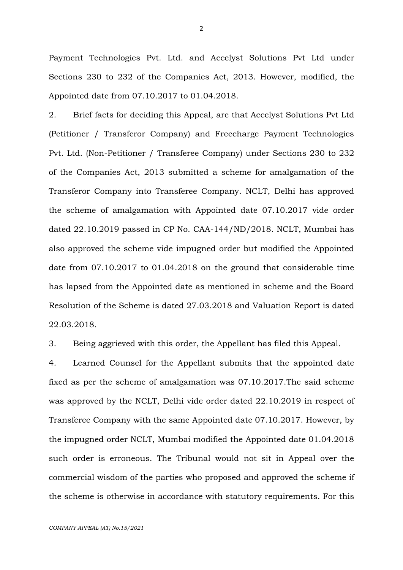Payment Technologies Pvt. Ltd. and Accelyst Solutions Pvt Ltd under Sections 230 to 232 of the Companies Act, 2013. However, modified, the Appointed date from 07.10.2017 to 01.04.2018.

2. Brief facts for deciding this Appeal, are that Accelyst Solutions Pvt Ltd (Petitioner / Transferor Company) and Freecharge Payment Technologies Pvt. Ltd. (Non-Petitioner / Transferee Company) under Sections 230 to 232 of the Companies Act, 2013 submitted a scheme for amalgamation of the Transferor Company into Transferee Company. NCLT, Delhi has approved the scheme of amalgamation with Appointed date 07.10.2017 vide order dated 22.10.2019 passed in CP No. CAA-144/ND/2018. NCLT, Mumbai has also approved the scheme vide impugned order but modified the Appointed date from 07.10.2017 to 01.04.2018 on the ground that considerable time has lapsed from the Appointed date as mentioned in scheme and the Board Resolution of the Scheme is dated 27.03.2018 and Valuation Report is dated 22.03.2018.

3. Being aggrieved with this order, the Appellant has filed this Appeal.

4. Learned Counsel for the Appellant submits that the appointed date fixed as per the scheme of amalgamation was 07.10.2017.The said scheme was approved by the NCLT, Delhi vide order dated 22.10.2019 in respect of Transferee Company with the same Appointed date 07.10.2017. However, by the impugned order NCLT, Mumbai modified the Appointed date 01.04.2018 such order is erroneous. The Tribunal would not sit in Appeal over the commercial wisdom of the parties who proposed and approved the scheme if the scheme is otherwise in accordance with statutory requirements. For this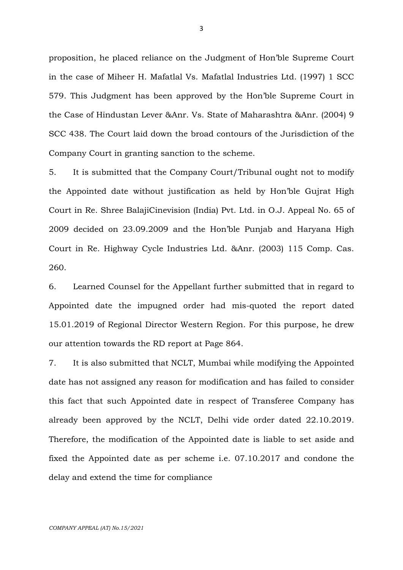proposition, he placed reliance on the Judgment of Hon'ble Supreme Court in the case of Miheer H. Mafatlal Vs. Mafatlal Industries Ltd. (1997) 1 SCC 579. This Judgment has been approved by the Hon'ble Supreme Court in the Case of Hindustan Lever &Anr. Vs. State of Maharashtra &Anr. (2004) 9 SCC 438. The Court laid down the broad contours of the Jurisdiction of the Company Court in granting sanction to the scheme.

5. It is submitted that the Company Court/Tribunal ought not to modify the Appointed date without justification as held by Hon'ble Gujrat High Court in Re. Shree BalajiCinevision (India) Pvt. Ltd. in O.J. Appeal No. 65 of 2009 decided on 23.09.2009 and the Hon'ble Punjab and Haryana High Court in Re. Highway Cycle Industries Ltd. &Anr. (2003) 115 Comp. Cas. 260.

6. Learned Counsel for the Appellant further submitted that in regard to Appointed date the impugned order had mis-quoted the report dated 15.01.2019 of Regional Director Western Region. For this purpose, he drew our attention towards the RD report at Page 864.

7. It is also submitted that NCLT, Mumbai while modifying the Appointed date has not assigned any reason for modification and has failed to consider this fact that such Appointed date in respect of Transferee Company has already been approved by the NCLT, Delhi vide order dated 22.10.2019. Therefore, the modification of the Appointed date is liable to set aside and fixed the Appointed date as per scheme i.e. 07.10.2017 and condone the delay and extend the time for compliance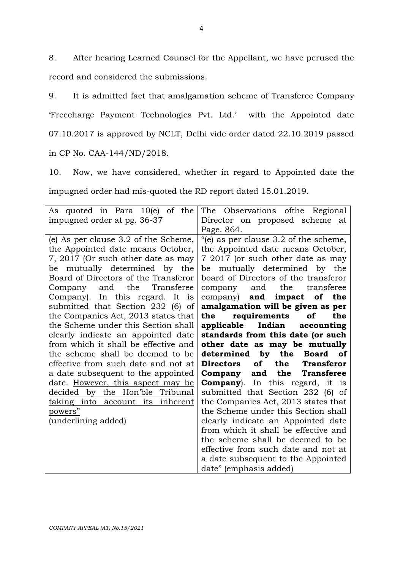8. After hearing Learned Counsel for the Appellant, we have perused the record and considered the submissions.

9. It is admitted fact that amalgamation scheme of Transferee Company 'Freecharge Payment Technologies Pvt. Ltd.' with the Appointed date 07.10.2017 is approved by NCLT, Delhi vide order dated 22.10.2019 passed in CP No. CAA-144/ND/2018.

10. Now, we have considered, whether in regard to Appointed date the impugned order had mis-quoted the RD report dated 15.01.2019.

| As quoted in Para 10(e) of the<br>impugned order at pg. 36-37                                                                                                                                                                                                                                                                                                                                                                                                                                                                                                                                                                                                                                                                | The Observations of the Regional<br>Director on proposed scheme at<br>Page. 864.                                                                                                                                                                                                                                                                                                                                                                                                                                                                                                                                                                                                                                                                                                                                                                                                                        |
|------------------------------------------------------------------------------------------------------------------------------------------------------------------------------------------------------------------------------------------------------------------------------------------------------------------------------------------------------------------------------------------------------------------------------------------------------------------------------------------------------------------------------------------------------------------------------------------------------------------------------------------------------------------------------------------------------------------------------|---------------------------------------------------------------------------------------------------------------------------------------------------------------------------------------------------------------------------------------------------------------------------------------------------------------------------------------------------------------------------------------------------------------------------------------------------------------------------------------------------------------------------------------------------------------------------------------------------------------------------------------------------------------------------------------------------------------------------------------------------------------------------------------------------------------------------------------------------------------------------------------------------------|
| (e) As per clause 3.2 of the Scheme,<br>the Appointed date means October,<br>7, 2017 (Or such other date as may<br>be mutually determined by the<br>Board of Directors of the Transferor<br>Company and the<br>Transferee<br>Company). In this regard. It is<br>submitted that Section 232 (6) of<br>the Companies Act, 2013 states that<br>the Scheme under this Section shall<br>clearly indicate an appointed date<br>from which it shall be effective and<br>the scheme shall be deemed to be<br>effective from such date and not at<br>a date subsequent to the appointed<br>date. However, this aspect may be<br>decided by the Hon'ble Tribunal<br>taking into account its inherent<br>powers"<br>(underlining added) | "(e) as per clause 3.2 of the scheme,<br>the Appointed date means October,<br>7 2017 (or such other date as may<br>be mutually determined by the<br>board of Directors of the transferor<br>the transferee<br>and<br>company<br>company) and impact of the<br>amalgamation will be given as per<br>requirements<br>the<br>the<br>of<br>applicable Indian accounting<br>standards from this date (or such<br>other date as may be mutually<br>determined by the Board of<br>of<br>the Transferor<br>Directors<br>Company and the Transferee<br><b>Company</b> ). In this regard, it is<br>submitted that Section 232 (6) of<br>the Companies Act, 2013 states that<br>the Scheme under this Section shall<br>clearly indicate an Appointed date<br>from which it shall be effective and<br>the scheme shall be deemed to be<br>effective from such date and not at<br>a date subsequent to the Appointed |
|                                                                                                                                                                                                                                                                                                                                                                                                                                                                                                                                                                                                                                                                                                                              | date" (emphasis added)                                                                                                                                                                                                                                                                                                                                                                                                                                                                                                                                                                                                                                                                                                                                                                                                                                                                                  |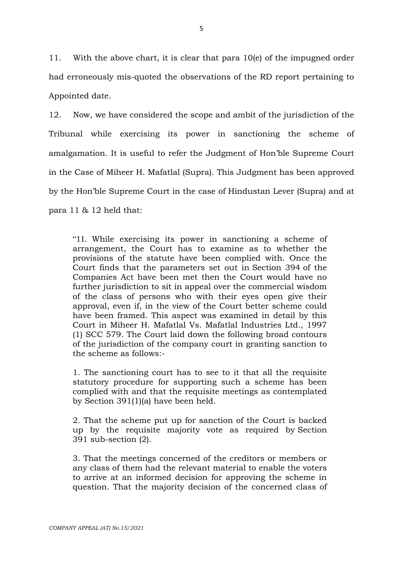11. With the above chart, it is clear that para 10(e) of the impugned order had erroneously mis-quoted the observations of the RD report pertaining to Appointed date.

12. Now, we have considered the scope and ambit of the jurisdiction of the Tribunal while exercising its power in sanctioning the scheme of amalgamation. It is useful to refer the Judgment of Hon'ble Supreme Court in the Case of Miheer H. Mafatlal (Supra). This Judgment has been approved by the Hon'ble Supreme Court in the case of Hindustan Lever (Supra) and at para 11 & 12 held that:

"11. While exercising its power in sanctioning a scheme of arrangement, the Court has to examine as to whether the provisions of the statute have been complied with. Once the Court finds that the parameters set out in [Section 394](https://indiankanoon.org/doc/301194/) of the Companies Act have been met then the Court would have no further jurisdiction to sit in appeal over the commercial wisdom of the class of persons who with their eyes open give their approval, even if, in the view of the Court better scheme could have been framed. This aspect was examined in detail by this Court in Miheer H. Mafatlal Vs. Mafatlal Industries Ltd., 1997 (1) SCC 579. The Court laid down the following broad contours of the jurisdiction of the company court in granting sanction to the scheme as follows:-

1. The sanctioning court has to see to it that all the requisite statutory procedure for supporting such a scheme has been complied with and that the requisite meetings as contemplated by [Section 391\(1\)\(a\)](https://indiankanoon.org/doc/637987/) have been held.

2. That the scheme put up for sanction of the Court is backed up by the requisite majority vote as required by [Section](https://indiankanoon.org/doc/1562602/)  [391](https://indiankanoon.org/doc/1562602/) sub-section (2).

3. That the meetings concerned of the creditors or members or any class of them had the relevant material to enable the voters to arrive at an informed decision for approving the scheme in question. That the majority decision of the concerned class of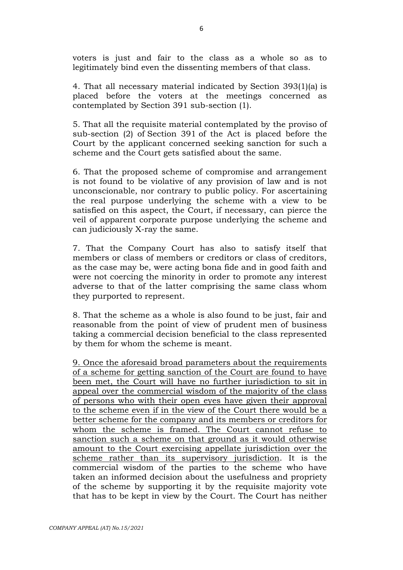voters is just and fair to the class as a whole so as to legitimately bind even the dissenting members of that class.

4. That all necessary material indicated by [Section 393\(1\)\(a\)](https://indiankanoon.org/doc/118430/) is placed before the voters at the meetings concerned as contemplated by [Section 391](https://indiankanoon.org/doc/1562602/) sub-section (1).

5. That all the requisite material contemplated by the proviso of sub-section (2) of [Section 391](https://indiankanoon.org/doc/1562602/) of the Act is placed before the Court by the applicant concerned seeking sanction for such a scheme and the Court gets satisfied about the same.

6. That the proposed scheme of compromise and arrangement is not found to be violative of any provision of law and is not unconscionable, nor contrary to public policy. For ascertaining the real purpose underlying the scheme with a view to be satisfied on this aspect, the Court, if necessary, can pierce the veil of apparent corporate purpose underlying the scheme and can judiciously X-ray the same.

7. That the Company Court has also to satisfy itself that members or class of members or creditors or class of creditors, as the case may be, were acting bona fide and in good faith and were not coercing the minority in order to promote any interest adverse to that of the latter comprising the same class whom they purported to represent.

8. That the scheme as a whole is also found to be just, fair and reasonable from the point of view of prudent men of business taking a commercial decision beneficial to the class represented by them for whom the scheme is meant.

9. Once the aforesaid broad parameters about the requirements of a scheme for getting sanction of the Court are found to have been met, the Court will have no further jurisdiction to sit in appeal over the commercial wisdom of the majority of the class of persons who with their open eyes have given their approval to the scheme even if in the view of the Court there would be a better scheme for the company and its members or creditors for whom the scheme is framed. The Court cannot refuse to sanction such a scheme on that ground as it would otherwise amount to the Court exercising appellate jurisdiction over the scheme rather than its supervisory jurisdiction. It is the commercial wisdom of the parties to the scheme who have taken an informed decision about the usefulness and propriety of the scheme by supporting it by the requisite majority vote that has to be kept in view by the Court. The Court has neither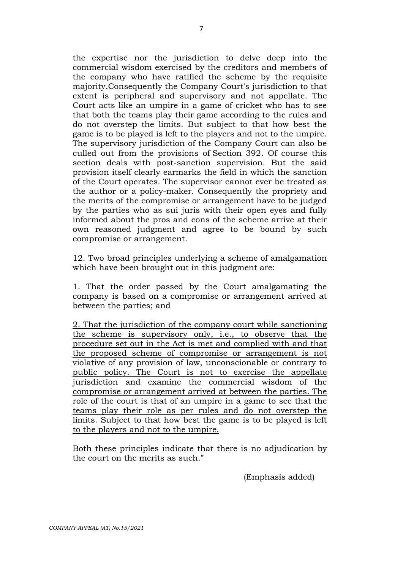the expertise nor the jurisdiction to delve deep into the commercial wisdom exercised by the creditors and members of the company who have ratified the scheme by the requisite majority.Consequently the Company Court's jurisdiction to that extent is peripheral and supervisory and not appellate. The Court acts like an umpire in a game of cricket who has to see that both the teams play their game according to the rules and do not overstep the limits. But subject to that how best the game is to be played is left to the players and not to the umpire. The supervisory jurisdiction of the Company Court can also be culled out from the provisions of [Section 392.](https://indiankanoon.org/doc/1187271/) Of course this section deals with post-sanction supervision. But the said provision itself clearly earmarks the field in which the sanction of the Court operates. The supervisor cannot ever be treated as the author or a policy-maker. Consequently the propriety and the merits of the compromise or arrangement have to be judged by the parties who as sui juris with their open eyes and fully informed about the pros and cons of the scheme arrive at their own reasoned judgment and agree to be bound by such compromise or arrangement.

12. Two broad principles underlying a scheme of amalgamation which have been brought out in this judgment are:

1. That the order passed by the Court amalgamating the company is based on a compromise or arrangement arrived at between the parties; and

2. That the jurisdiction of the company court while sanctioning the scheme is supervisory only, i.e., to observe that the procedure set out in the Act is met and complied with and that the proposed scheme of compromise or arrangement is not violative of any provision of law, unconscionable or contrary to public policy. The Court is not to exercise the appellate jurisdiction and examine the commercial wisdom of the compromise or arrangement arrived at between the parties. The role of the court is that of an umpire in a game to see that the teams play their role as per rules and do not overstep the limits. Subject to that how best the game is to be played is left to the players and not to the umpire.

Both these principles indicate that there is no adjudication by the court on the merits as such."

(Emphasis added)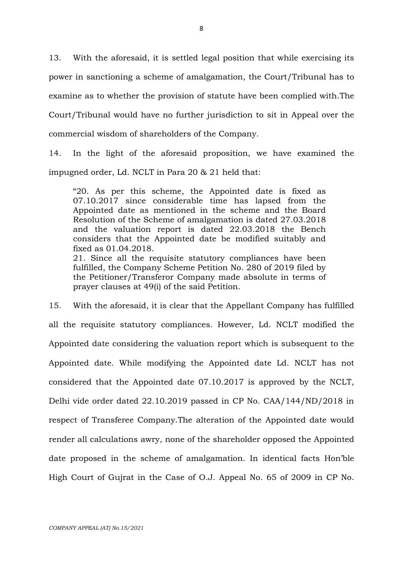13. With the aforesaid, it is settled legal position that while exercising its power in sanctioning a scheme of amalgamation, the Court/Tribunal has to examine as to whether the provision of statute have been complied with.The Court/Tribunal would have no further jurisdiction to sit in Appeal over the commercial wisdom of shareholders of the Company.

14. In the light of the aforesaid proposition, we have examined the impugned order, Ld. NCLT in Para 20 & 21 held that:

"20. As per this scheme, the Appointed date is fixed as 07.10.2017 since considerable time has lapsed from the Appointed date as mentioned in the scheme and the Board Resolution of the Scheme of amalgamation is dated 27.03.2018 and the valuation report is dated 22.03.2018 the Bench considers that the Appointed date be modified suitably and fixed as 01.04.2018. 21. Since all the requisite statutory compliances have been

fulfilled, the Company Scheme Petition No. 280 of 2019 filed by the Petitioner/Transferor Company made absolute in terms of prayer clauses at 49(i) of the said Petition.

15. With the aforesaid, it is clear that the Appellant Company has fulfilled all the requisite statutory compliances. However, Ld. NCLT modified the Appointed date considering the valuation report which is subsequent to the Appointed date. While modifying the Appointed date Ld. NCLT has not considered that the Appointed date 07.10.2017 is approved by the NCLT, Delhi vide order dated 22.10.2019 passed in CP No. CAA/144/ND/2018 in respect of Transferee Company.The alteration of the Appointed date would render all calculations awry, none of the shareholder opposed the Appointed date proposed in the scheme of amalgamation. In identical facts Hon'ble High Court of Gujrat in the Case of O.J. Appeal No. 65 of 2009 in CP No.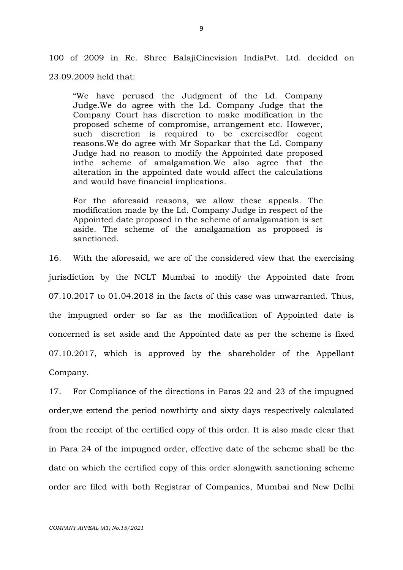100 of 2009 in Re. Shree BalajiCinevision IndiaPvt. Ltd. decided on 23.09.2009 held that:

"We have perused the Judgment of the Ld. Company Judge.We do agree with the Ld. Company Judge that the Company Court has discretion to make modification in the proposed scheme of compromise, arrangement etc. However, such discretion is required to be exercisedfor cogent reasons.We do agree with Mr Soparkar that the Ld. Company Judge had no reason to modify the Appointed date proposed inthe scheme of amalgamation.We also agree that the alteration in the appointed date would affect the calculations and would have financial implications.

For the aforesaid reasons, we allow these appeals. The modification made by the Ld. Company Judge in respect of the Appointed date proposed in the scheme of amalgamation is set aside. The scheme of the amalgamation as proposed is sanctioned.

16. With the aforesaid, we are of the considered view that the exercising jurisdiction by the NCLT Mumbai to modify the Appointed date from 07.10.2017 to 01.04.2018 in the facts of this case was unwarranted. Thus, the impugned order so far as the modification of Appointed date is concerned is set aside and the Appointed date as per the scheme is fixed 07.10.2017, which is approved by the shareholder of the Appellant Company.

17. For Compliance of the directions in Paras 22 and 23 of the impugned order,we extend the period nowthirty and sixty days respectively calculated from the receipt of the certified copy of this order. It is also made clear that in Para 24 of the impugned order, effective date of the scheme shall be the date on which the certified copy of this order alongwith sanctioning scheme order are filed with both Registrar of Companies, Mumbai and New Delhi